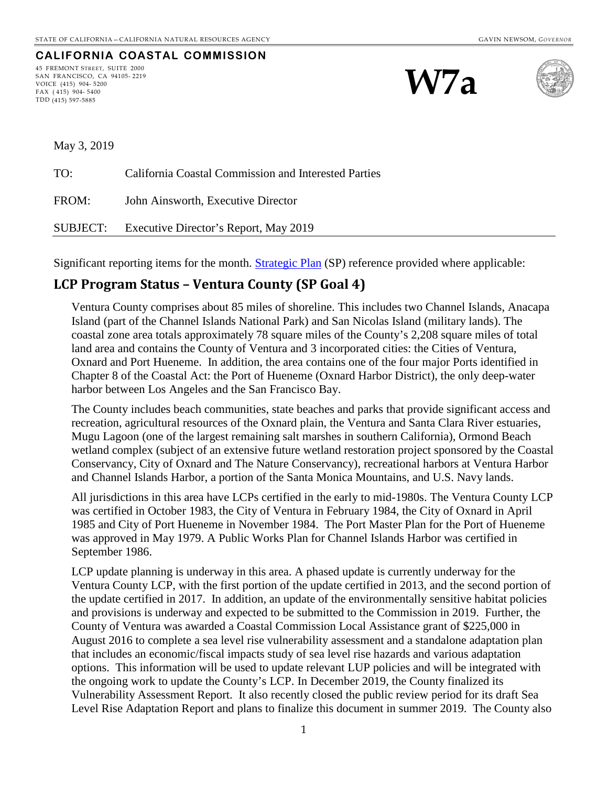#### **CALIFORNIA COASTAL COMMISSION** 45 FREMONT STREET, SUITE 2000

SAN FRANCISCO, CA 94105- 2219 VOICE (415) 904- 5200 FAX ( 415) 904- 5400 TDD (415) 597-5885





May 3, 2019

TO: California Coastal Commission and Interested Parties FROM: John Ainsworth, Executive Director SUBJECT: Executive Director's Report, May 2019

Significant reporting items for the month. **Strategic Plan** (SP) reference provided where applicable:

#### **LCP Program Status – Ventura County (SP Goal 4)**

Ventura County comprises about 85 miles of shoreline. This includes two Channel Islands, Anacapa Island (part of the Channel Islands National Park) and San Nicolas Island (military lands). The coastal zone area totals approximately 78 square miles of the County's 2,208 square miles of total land area and contains the County of Ventura and 3 incorporated cities: the Cities of Ventura, Oxnard and Port Hueneme. In addition, the area contains one of the four major Ports identified in Chapter 8 of the Coastal Act: the Port of Hueneme (Oxnard Harbor District), the only deep-water harbor between Los Angeles and the San Francisco Bay.

The County includes beach communities, state beaches and parks that provide significant access and recreation, agricultural resources of the Oxnard plain, the Ventura and Santa Clara River estuaries, Mugu Lagoon (one of the largest remaining salt marshes in southern California), Ormond Beach wetland complex (subject of an extensive future wetland restoration project sponsored by the Coastal Conservancy, City of Oxnard and The Nature Conservancy), recreational harbors at Ventura Harbor and Channel Islands Harbor, a portion of the Santa Monica Mountains, and U.S. Navy lands.

All jurisdictions in this area have LCPs certified in the early to mid-1980s. The Ventura County LCP was certified in October 1983, the City of Ventura in February 1984, the City of Oxnard in April 1985 and City of Port Hueneme in November 1984. The Port Master Plan for the Port of Hueneme was approved in May 1979. A Public Works Plan for Channel Islands Harbor was certified in September 1986.

LCP update planning is underway in this area. A phased update is currently underway for the Ventura County LCP, with the first portion of the update certified in 2013, and the second portion of the update certified in 2017. In addition, an update of the environmentally sensitive habitat policies and provisions is underway and expected to be submitted to the Commission in 2019. Further, the County of Ventura was awarded a Coastal Commission Local Assistance grant of \$225,000 in August 2016 to complete a sea level rise vulnerability assessment and a standalone adaptation plan that includes an economic/fiscal impacts study of sea level rise hazards and various adaptation options. This information will be used to update relevant LUP policies and will be integrated with the ongoing work to update the County's LCP. In December 2019, the County finalized its Vulnerability Assessment Report. It also recently closed the public review period for its draft Sea Level Rise Adaptation Report and plans to finalize this document in summer 2019. The County also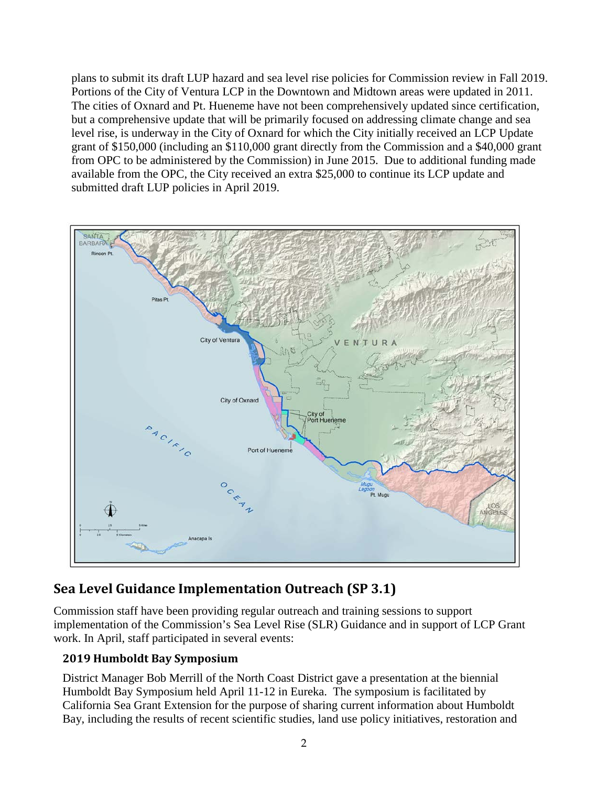plans to submit its draft LUP hazard and sea level rise policies for Commission review in Fall 2019. Portions of the City of Ventura LCP in the Downtown and Midtown areas were updated in 2011. The cities of Oxnard and Pt. Hueneme have not been comprehensively updated since certification, but a comprehensive update that will be primarily focused on addressing climate change and sea level rise, is underway in the City of Oxnard for which the City initially received an LCP Update grant of \$150,000 (including an \$110,000 grant directly from the Commission and a \$40,000 grant from OPC to be administered by the Commission) in June 2015. Due to additional funding made available from the OPC, the City received an extra \$25,000 to continue its LCP update and submitted draft LUP policies in April 2019.



# **Sea Level Guidance Implementation Outreach (SP 3.1)**

Commission staff have been providing regular outreach and training sessions to support implementation of the Commission's Sea Level Rise (SLR) Guidance and in support of LCP Grant work. In April, staff participated in several events:

### **2019 Humboldt Bay Symposium**

District Manager Bob Merrill of the North Coast District gave a presentation at the biennial Humboldt Bay Symposium held April 11-12 in Eureka. The symposium is facilitated by California Sea Grant Extension for the purpose of sharing current information about Humboldt Bay, including the results of recent scientific studies, land use policy initiatives, restoration and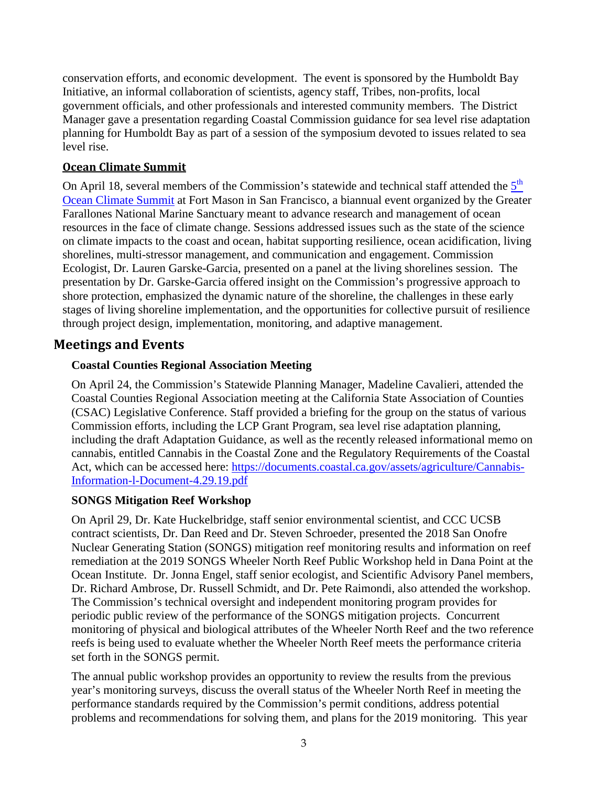conservation efforts, and economic development. The event is sponsored by the Humboldt Bay Initiative, an informal collaboration of scientists, agency staff, Tribes, non-profits, local government officials, and other professionals and interested community members. The District Manager gave a presentation regarding Coastal Commission guidance for sea level rise adaptation planning for Humboldt Bay as part of a session of the symposium devoted to issues related to sea level rise.

#### **Ocean Climate Summit**

On April 18, several members of the Commission's statewide and technical staff attended the  $5<sup>th</sup>$ [Ocean Climate Summit](https://farallones.org/ocean-climate-summit-2019/) at Fort Mason in San Francisco, a biannual event organized by the Greater Farallones National Marine Sanctuary meant to advance research and management of ocean resources in the face of climate change. Sessions addressed issues such as the state of the science on climate impacts to the coast and ocean, habitat supporting resilience, ocean acidification, living shorelines, multi-stressor management, and communication and engagement. Commission Ecologist, Dr. Lauren Garske-Garcia, presented on a panel at the living shorelines session. The presentation by Dr. Garske-Garcia offered insight on the Commission's progressive approach to shore protection, emphasized the dynamic nature of the shoreline, the challenges in these early stages of living shoreline implementation, and the opportunities for collective pursuit of resilience through project design, implementation, monitoring, and adaptive management.

#### **Meetings and Events**

#### **Coastal Counties Regional Association Meeting**

On April 24, the Commission's Statewide Planning Manager, Madeline Cavalieri, attended the Coastal Counties Regional Association meeting at the California State Association of Counties (CSAC) Legislative Conference. Staff provided a briefing for the group on the status of various Commission efforts, including the LCP Grant Program, sea level rise adaptation planning, including the draft Adaptation Guidance, as well as the recently released informational memo on cannabis, entitled Cannabis in the Coastal Zone and the Regulatory Requirements of the Coastal Act, which can be accessed here: [https://documents.coastal.ca.gov/assets/agriculture/Cannabis-](https://documents.coastal.ca.gov/assets/agriculture/Cannabis-Information-l-Document-4.29.19.pdf)[Information-l-Document-4.29.19.pdf](https://documents.coastal.ca.gov/assets/agriculture/Cannabis-Information-l-Document-4.29.19.pdf)

#### **SONGS Mitigation Reef Workshop**

On April 29, Dr. Kate Huckelbridge, staff senior environmental scientist, and CCC UCSB contract scientists, Dr. Dan Reed and Dr. Steven Schroeder, presented the 2018 San Onofre Nuclear Generating Station (SONGS) mitigation reef monitoring results and information on reef remediation at the 2019 SONGS Wheeler North Reef Public Workshop held in Dana Point at the Ocean Institute. Dr. Jonna Engel, staff senior ecologist, and Scientific Advisory Panel members, Dr. Richard Ambrose, Dr. Russell Schmidt, and Dr. Pete Raimondi, also attended the workshop. The Commission's technical oversight and independent monitoring program provides for periodic public review of the performance of the SONGS mitigation projects. Concurrent monitoring of physical and biological attributes of the Wheeler North Reef and the two reference reefs is being used to evaluate whether the Wheeler North Reef meets the performance criteria set forth in the SONGS permit.

The annual public workshop provides an opportunity to review the results from the previous year's monitoring surveys, discuss the overall status of the Wheeler North Reef in meeting the performance standards required by the Commission's permit conditions, address potential problems and recommendations for solving them, and plans for the 2019 monitoring. This year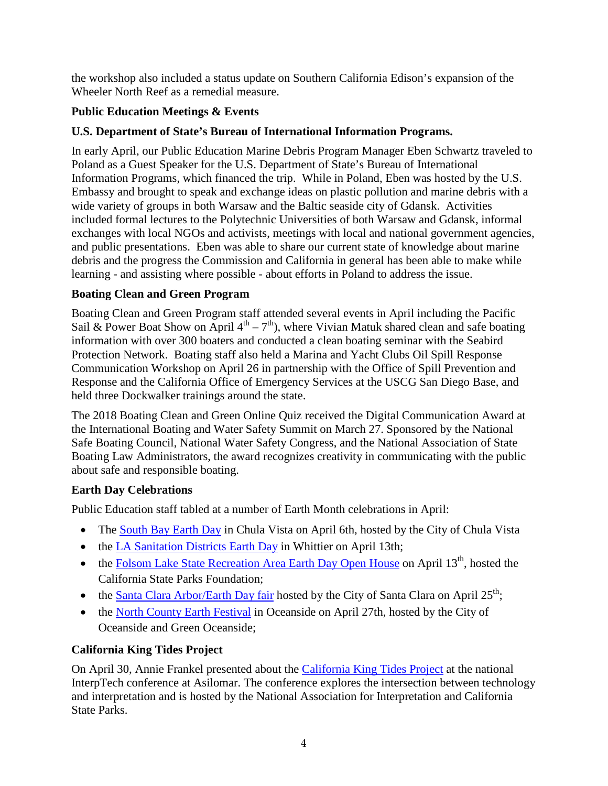the workshop also included a status update on Southern California Edison's expansion of the Wheeler North Reef as a remedial measure.

#### **Public Education Meetings & Events**

#### **U.S. Department of State's Bureau of International Information Programs.**

In early April, our Public Education Marine Debris Program Manager Eben Schwartz traveled to Poland as a Guest Speaker for the U.S. Department of State's Bureau of International Information Programs, which financed the trip. While in Poland, Eben was hosted by the U.S. Embassy and brought to speak and exchange ideas on plastic pollution and marine debris with a wide variety of groups in both Warsaw and the Baltic seaside city of Gdansk. Activities included formal lectures to the Polytechnic Universities of both Warsaw and Gdansk, informal exchanges with local NGOs and activists, meetings with local and national government agencies, and public presentations. Eben was able to share our current state of knowledge about marine debris and the progress the Commission and California in general has been able to make while learning - and assisting where possible - about efforts in Poland to address the issue.

#### **Boating Clean and Green Program**

Boating Clean and Green Program staff attended several events in April including the Pacific Sail & Power Boat Show on April  $4<sup>th</sup> - 7<sup>th</sup>$ ), where Vivian Matuk shared clean and safe boating information with over 300 boaters and conducted a clean boating seminar with the Seabird Protection Network. Boating staff also held a Marina and Yacht Clubs Oil Spill Response Communication Workshop on April 26 in partnership with the Office of Spill Prevention and Response and the California Office of Emergency Services at the USCG San Diego Base, and held three Dockwalker trainings around the state.

The 2018 Boating Clean and Green Online Quiz received the Digital Communication Award at the International Boating and Water Safety Summit on March 27. Sponsored by the National Safe Boating Council, National Water Safety Congress, and the National Association of State Boating Law Administrators, the award recognizes creativity in communicating with the public about safe and responsible boating.

### **Earth Day Celebrations**

Public Education staff tabled at a number of Earth Month celebrations in April:

- The [South Bay Earth](https://www.chulavistaca.gov/departments/clean/south-bay-earth-day) Day in Chula Vista on April 6th, hosted by the City of Chula Vista
- the [LA Sanitation Districts Earth Day](https://www.lacsd.org/civicax/filebank/blobdload.aspx?blobid=8902) in Whittier on April 13th;
- the [Folsom Lake State Recreation Area Earth Day Open House](https://www.facebook.com/events/436551260414217/) on April  $13<sup>th</sup>$ , hosted the California State Parks Foundation;
- the [Santa Clara Arbor/Earth Day fair](http://santaclaraca.gov/residents/events/arbor-day-earth-day-celebration) hosted by the City of Santa Clara on April  $25^{th}$ ;
- the [North County Earth Festival](https://www.ci.oceanside.ca.us/gov/water/services_programs/green_oceanside/earth_month.asp) in Oceanside on April 27th, hosted by the City of Oceanside and Green Oceanside;

### **California King Tides Project**

On April 30, Annie Frankel presented about the [California King Tides Project](https://www.coastal.ca.gov/kingtides/) at the national InterpTech conference at Asilomar. The conference explores the intersection between technology and interpretation and is hosted by the National Association for Interpretation and California State Parks.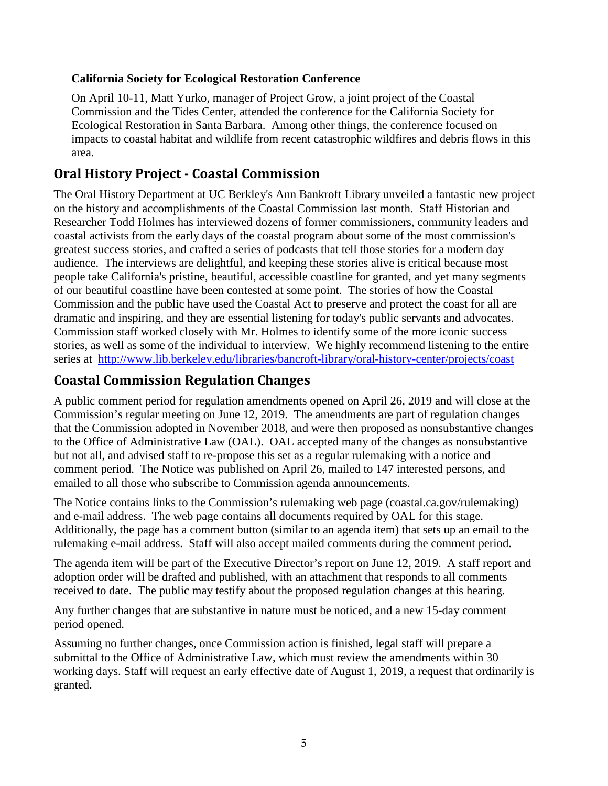#### **California Society for Ecological Restoration Conference**

On April 10-11, Matt Yurko, manager of Project Grow, a joint project of the Coastal Commission and the Tides Center, attended the conference for the California Society for Ecological Restoration in Santa Barbara. Among other things, the conference focused on impacts to coastal habitat and wildlife from recent catastrophic wildfires and debris flows in this area.

## **Oral History Project - Coastal Commission**

The Oral History Department at UC Berkley's Ann Bankroft Library unveiled a fantastic new project on the history and accomplishments of the Coastal Commission last month. Staff Historian and Researcher Todd Holmes has interviewed dozens of former commissioners, community leaders and coastal activists from the early days of the coastal program about some of the most commission's greatest success stories, and crafted a series of podcasts that tell those stories for a modern day audience. The interviews are delightful, and keeping these stories alive is critical because most people take California's pristine, beautiful, accessible coastline for granted, and yet many segments of our beautiful coastline have been contested at some point. The stories of how the Coastal Commission and the public have used the Coastal Act to preserve and protect the coast for all are dramatic and inspiring, and they are essential listening for today's public servants and advocates. Commission staff worked closely with Mr. Holmes to identify some of the more iconic success stories, as well as some of the individual to interview. We highly recommend listening to the entire series at <http://www.lib.berkeley.edu/libraries/bancroft-library/oral-history-center/projects/coast>

## **Coastal Commission Regulation Changes**

A public comment period for regulation amendments opened on April 26, 2019 and will close at the Commission's regular meeting on June 12, 2019. The amendments are part of regulation changes that the Commission adopted in November 2018, and were then proposed as nonsubstantive changes to the Office of Administrative Law (OAL). OAL accepted many of the changes as nonsubstantive but not all, and advised staff to re-propose this set as a regular rulemaking with a notice and comment period. The Notice was published on April 26, mailed to 147 interested persons, and emailed to all those who subscribe to Commission agenda announcements.

The Notice contains links to the Commission's rulemaking web page (coastal.ca.gov/rulemaking) and e-mail address. The web page contains all documents required by OAL for this stage. Additionally, the page has a comment button (similar to an agenda item) that sets up an email to the rulemaking e-mail address. Staff will also accept mailed comments during the comment period.

The agenda item will be part of the Executive Director's report on June 12, 2019. A staff report and adoption order will be drafted and published, with an attachment that responds to all comments received to date. The public may testify about the proposed regulation changes at this hearing.

Any further changes that are substantive in nature must be noticed, and a new 15-day comment period opened.

Assuming no further changes, once Commission action is finished, legal staff will prepare a submittal to the Office of Administrative Law, which must review the amendments within 30 working days. Staff will request an early effective date of August 1, 2019, a request that ordinarily is granted.